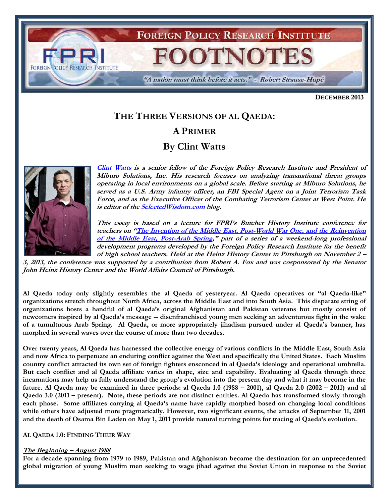

**DECEMBER 2013**

# **THE THREE VERSIONS OF AL QAEDA:**

## **A PRIMER**

## **By Clint Watts**



**[Clint Watts](http://www.fpri.org/contributors/clint-watts) is a senior fellow of the Foreign Policy Research Institute and President of Miburo Solutions, Inc. His research focuses on analyzing transnational threat groups operating in local environments on a global scale. Before starting at Miburo Solutions, he served as a U.S. Army infantry officer, an FBI Special Agent on a Joint Terrorism Task Force, and as the Executive Officer of the Combating Terrorism Center at West Point. He is editor of th[e SelectedWisdom.com](file:///C:/Documents%20and%20Settings/AL.FP/Local%20Settings/DRAFT/SelectedWisdom.com) blog.**

**This essay is based on a lecture for FPRI's Butcher History Institute conference for teachers on "[The Invention of the Middle East, Post-World War One, and the Reinvention](http://www.fpri.org/events/2013/11/invention-middle-east-post-world-war-one-and-reinvention-middle-east-post-arab-spring)  [of the Middle East, Post-Arab Spring](http://www.fpri.org/events/2013/11/invention-middle-east-post-world-war-one-and-reinvention-middle-east-post-arab-spring)," part of a series of a weekend-long professional development programs developed by the Foreign Policy Research Institute for the benefit of high school teachers. Held at the Heinz History Center in Pittsburgh on November 2 –**

**3, 2013, the conference was supported by a contribution from Robert A. Fox and was cosponsored by the Senator John Heinz History Center and the World Affairs Council of Pittsburgh.**

**Al Qaeda today only slightly resembles the al Qaeda of yesteryear. Al Qaeda operatives or "al Qaeda-like" organizations stretch throughout North Africa, across the Middle East and into South Asia. This disparate string of organizations hosts a handful of al Qaeda's original Afghanistan and Pakistan veterans but mostly consist of newcomers inspired by al Qaeda's message -- disenfranchised young men seeking an adventurous fight in the wake of a tumultuous Arab Spring. Al Qaeda, or more appropriately jihadism pursued under al Qaeda's banner, has morphed in several waves over the course of more than two decades.** 

**Over twenty years, Al Qaeda has harnessed the collective energy of various conflicts in the Middle East, South Asia and now Africa to perpetuate an enduring conflict against the West and specifically the United States. Each Muslim country conflict attracted its own set of foreign fighters ensconced in al Qaeda's ideology and operational umbrella. But each conflict and al Qaeda affiliate varies in shape, size and capability. Evaluating al Qaeda through three incarnations may help us fully understand the group's evolution into the present day and what it may become in the future. Al Qaeda may be examined in three periods: al Qaeda 1.0 (1988 – 2001), al Qaeda 2.0 (2002 – 2011) and al Qaeda 3.0 (2011 – present). Note, these periods are not distinct entities. Al Qaeda has transformed slowly through each phase. Some affiliates carrying al Qaeda's name have rapidly morphed based on changing local conditions while others have adjusted more pragmatically. However, two significant events, the attacks of September 11, 2001 and the death of Osama Bin Laden on May 1, 2011 provide natural turning points for tracing al Qaeda's evolution.** 

#### **AL QAEDA 1.0: FINDING THEIR WAY**

## **The Beginning – August 1988**

**For a decade spanning from 1979 to 1989, Pakistan and Afghanistan became the destination for an unprecedented global migration of young Muslim men seeking to wage jihad against the Soviet Union in response to the Soviet**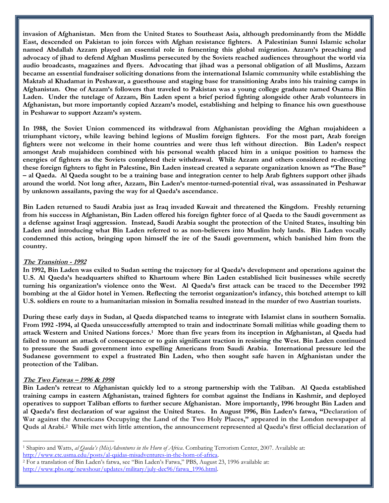**invasion of Afghanistan. Men from the United States to Southeast Asia, although predominantly from the Middle East, descended on Pakistan to join forces with Afghan resistance fighters. A Palestinian Sunni Islamic scholar named Abdallah Azzam played an essential role in fomenting this global migration. Azzam's preaching and advocacy of jihad to defend Afghan Muslims persecuted by the Soviets reached audiences throughout the world via audio broadcasts, magazines and flyers. Advocating that jihad was a personal obligation of all Muslims, Azzam became an essential fundraiser soliciting donations from the international Islamic community while establishing the Maktab al Khadamat in Peshawar, a guesthouse and staging base for transitioning Arabs into his training camps in Afghanistan. One of Azzam's followers that traveled to Pakistan was a young college graduate named Osama Bin Laden. Under the tutelage of Azzam, Bin Laden spent a brief period fighting alongside other Arab volunteers in Afghanistan, but more importantly copied Azzam's model, establishing and helping to finance his own guesthouse in Peshawar to support Azzam's system.**

**In 1988, the Soviet Union commenced its withdrawal from Afghanistan providing the Afghan mujahideen a triumphant victory, while leaving behind legions of Muslim foreign fighters. For the most part, Arab foreign fighters were not welcome in their home countries and were thus left without direction. Bin Laden's respect amongst Arab mujahideen combined with his personal wealth placed him in a unique position to harness the energies of fighters as the Soviets completed their withdrawal. While Azzam and others considered re-directing these foreign fighters to fight in Palestine, Bin Laden instead created a separate organization known as "The Base" – al Qaeda. Al Qaeda sought to be a training base and integration center to help Arab fighters support other jihads around the world. Not long after, Azzam, Bin Laden's mentor-turned-potential rival, was assassinated in Peshawar by unknown assailants, paving the way for al Qaeda's ascendance.** 

**Bin Laden returned to Saudi Arabia just as Iraq invaded Kuwait and threatened the Kingdom. Freshly returning from his success in Afghanistan, Bin Laden offered his foreign fighter force of al Qaeda to the Saudi government as a defense against Iraqi aggression. Instead, Saudi Arabia sought the protection of the United States, insulting bin Laden and introducing what Bin Laden referred to as non-believers into Muslim holy lands. Bin Laden vocally condemned this action, bringing upon himself the ire of the Saudi government, which banished him from the country.** 

## **The Transition - 1992**

**In 1992, Bin Laden was exiled to Sudan setting the trajectory for al Qaeda's development and operations against the U.S. Al Qaeda's headquarters shifted to Khartoum where Bin Laden established licit businesses while secretly turning his organization's violence onto the West. Al Qaeda's first attack can be traced to the December 1992 bombing at the al Gidor hotel in Yemen. Reflecting the terrorist organization's infancy, this botched attempt to kill U.S. soldiers en route to a humanitarian mission in Somalia resulted instead in the murder of two Austrian tourists.** 

**During these early days in Sudan, al Qaeda dispatched teams to integrate with Islamist clans in southern Somalia. From 1992 -1994, al Qaeda unsuccessfully attempted to train and indoctrinate Somali militias while goading them to attack Western and United Nations forces.<sup>1</sup> More than five years from its inception in Afghanistan, al Qaeda had failed to mount an attack of consequence or to gain significant traction in resisting the West. Bin Laden continued to pressure the Saudi government into expelling Americans from Saudi Arabia. International pressure led the Sudanese government to expel a frustrated Bin Laden, who then sought safe haven in Afghanistan under the protection of the Taliban.** 

## **The Two Fatwas – 1996 & 1998**

l

**Bin Laden's retreat to Afghanistan quickly led to a strong partnership with the Taliban. Al Qaeda established training camps in eastern Afghanistan, trained fighters for combat against the Indians in Kashmir, and deployed operatives to support Taliban efforts to further secure Afghanistan. More importantly, 1996 brought Bin Laden and al Qaeda's first declaration of war against the United States. In August 1996, Bin Laden's fatwa, "Declaration of**  War against the Americans Occupying the Land of the Two Holy Places," appeared in the London newspaper al **Quds al Arabi.<sup>2</sup> While met with little attention, the announcement represented al Qaeda's first official declaration of** 

<sup>1</sup> Shapiro and Watts, *al Qaeda's (Mis)Adventures in the Horn of Africa*. Combating Terrorism Center, 2007. Available at: [http://www.ctc.usma.edu/posts/al-qaidas-misadventures-in-the-horn-of-africa.](http://www.ctc.usma.edu/posts/al-qaidas-misadventures-in-the-horn-of-africa) 

<sup>2</sup> For a translation of Bin Laden's fatwa, see "Bin Laden's Fatwa," PBS, August 23, 1996 available at: [http://www.pbs.org/newshour/updates/military/july-dec96/fatwa\\_1996.html.](http://www.pbs.org/newshour/updates/military/july-dec96/fatwa_1996.html)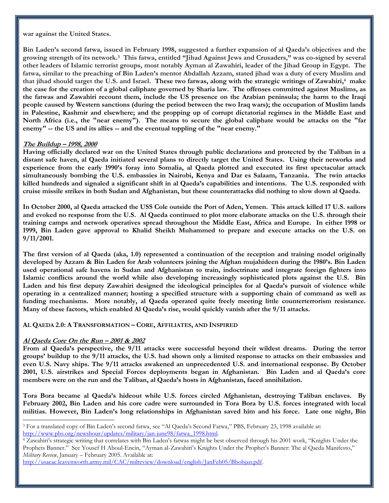**war against the United States.**

**Bin Laden's second fatwa, issued in February 1998, suggested a further expansion of al Qaeda's objectives and the growing strength of its network.<sup>3</sup> This fatwa, entitled "Jihad Against Jews and Crusaders," was co-signed by several other leaders of Islamic terrorist groups, most notably Ayman al Zawahiri, leader of the Jihad Group in Egypt. The fatwa, similar to the preaching of Bin Laden's mentor Abdallah Azzam, stated jihad was a duty of every Muslim and that jihad should target the U.S. and Israel. These two fatwas, along with the strategic writings of Zawahiri, <sup>4</sup> make the case for the creation of a global caliphate governed by Sharia law. The offenses committed against Muslims, as the fatwas and Zawahiri recount them, include the US presence on the Arabian peninsula; the harm to the Iraqi people caused by Western sanctions (during the period between the two Iraq wars); the occupation of Muslim lands in Palestine, Kashmir and elsewhere; and the propping up of corrupt dictatorial regimes in the Middle East and North Africa (i.e., the "near enemy"). The means to secure the global caliphate would be attacks on the "far enemy" -- the US and its allies -- and the eventual toppling of the "near enemy."**

#### **The Buildup – 1998, 2000**

**Having officially declared war on the United States through public declarations and protected by the Taliban in a distant safe haven, al Qaeda initiated several plans to directly target the United States. Using their networks and experience from the early 1990's foray into Somalia, al Qaeda plotted and executed its first spectacular attack simultaneously bombing the U.S. embassies in Nairobi, Kenya and Dar es Salaam, Tanzania. The twin attacks killed hundreds and signaled a significant shift in al Qaeda's capabilities and intentions. The U.S. responded with cruise missile strikes in both Sudan and Afghanistan, but these counterattacks did nothing to slow down al Qaeda.** 

**In October 2000, al Qaeda attacked the USS Cole outside the Port of Aden, Yemen. This attack killed 17 U.S. sailors and evoked no response from the U.S. Al Qaeda continued to plot more elaborate attacks on the U.S. through their training camps and network operatives spread throughout the Middle East, Africa and Europe. In either 1998 or 1999, Bin Laden gave approval to Khalid Sheikh Muhammed to prepare and execute attacks on the U.S. on 9/11/2001.**

**The first version of al Qaeda (aka, 1.0) represented a continuation of the reception and training model originally developed by Azzam & Bin Laden for Arab volunteers joining the Afghan mujahideen during the 1980's. Bin Laden used operational safe havens in Sudan and Afghanistan to train, indoctrinate and integrate foreign fighters into Islamic conflicts around the world while also developing increasingly sophisticated plots against the U.S. Bin Laden and his first deputy Zawahiri designed the ideological principles for al Qaeda's pursuit of violence while operating in a centralized manner; hosting a specified structure with a supporting chain of command as well as funding mechanisms. More notably, al Qaeda operated quite freely meeting little counterterrorism resistance. Many of these factors, which enabled Al Qaeda's rise, would quickly vanish after the 9/11 attacks.** 

#### **AL QAEDA 2.0: A TRANSFORMATION – CORE, AFFILIATES, AND INSPIRED**

## **Al Qaeda Core On the Run – 2001 & 2002**

 $\overline{a}$ 

**From al Qaeda's perspective, the 9/11 attacks were successful beyond their wildest dreams. During the terror groups' buildup to the 9/11 attacks, the U.S. had shown only a limited response to attacks on their embassies and even U.S. Navy ships. The 9/11 attacks awakened an unprecedented U.S. and international response. By October 2001, U.S. airstrikes and Special Forces deployments began in Afghanistan. Bin Laden and al Qaeda's core members were on the run and the Taliban, al Qaeda's hosts in Afghanistan, faced annihilation.** 

**Tora Bora became al Qaeda's hideout while U.S. forces circled Afghanistan, destroying Taliban enclaves. By February 2002, Bin Laden and his core cadre were surrounded in Tora Bora by U.S. forces integrated with local militias. However, Bin Laden's long relationships in Afghanistan saved him and his force. Late one night, Bin** 

<sup>3</sup> For a translated copy of Bin Laden's second fatwa, see "Al Qaeda's Second Fatwa," PBS, February 23, 1998 available at: [http://www.pbs.org/newshour/updates/military/jan-june98/fatwa\\_1998.html.](http://www.pbs.org/newshour/updates/military/jan-june98/fatwa_1998.html) 

<sup>4</sup> Zawahiri's strategic writing that correlates with Bin Laden's fatwas might be best observed through his 2001 work, "Knights Under the Prophets Banner." See Yousef H Aboul-Enein, "Ayman al-Zawahiri's Knights Under the Prophet's Banner: The al Qaeda Manifesto," *Military Review*, January – February 2005. Available at:

[http://usacac.leavenworth.army.mil/CAC/milreview/download/english/JanFeb05/Bbobjan.pdf.](http://usacac.leavenworth.army.mil/CAC/milreview/download/english/JanFeb05/Bbobjan.pdf)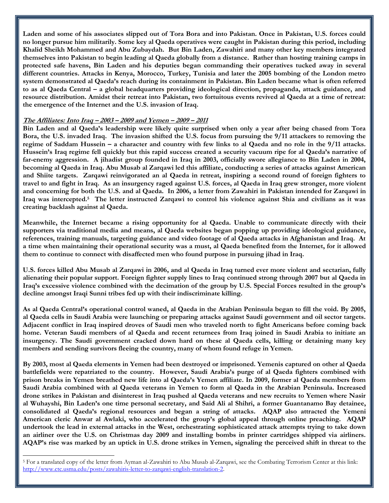**Laden and some of his associates slipped out of Tora Bora and into Pakistan. Once in Pakistan, U.S. forces could no longer pursue him militarily. Some key al Qaeda operatives were caught in Pakistan during this period, including Khalid Sheikh Mohammed and Abu Zubaydah. But Bin Laden, Zawahiri and many other key members integrated themselves into Pakistan to begin leading al Qaeda globally from a distance. Rather than hosting training camps in protected safe havens, Bin Laden and his deputies began commanding their operatives tucked away in several different countries. Attacks in Kenya, Morocco, Turkey, Tunisia and later the 2005 bombing of the London metro system demonstrated al Qaeda's reach during its containment in Pakistan. Bin Laden became what is often referred to as al Qaeda Central – a global headquarters providing ideological direction, propaganda, attack guidance, and resource distribution. Amidst their retreat into Pakistan, two fortuitous events revived al Qaeda at a time of retreat: the emergence of the Internet and the U.S. invasion of Iraq.**

#### **The Affiliates: Into Iraq – 2003 – 2009 and Yemen – 2009 – 2011**

 $\overline{a}$ 

**Bin Laden and al Qaeda's leadership were likely quite surprised when only a year after being chased from Tora Bora, the U.S. invaded Iraq. The invasion shifted the U.S. focus from pursuing the 9/11 attackers to removing the regime of Saddam Hussein – a character and country with few links to al Qaeda and no role in the 9/11 attacks. Hussein's Iraq regime fell quickly but this rapid success created a security vacuum ripe for al Qaeda's narrative of far-enemy aggression. A jihadist group founded in Iraq in 2003, officially swore allegiance to Bin Laden in 2004, becoming al Qaeda in Iraq. Abu Musab al Zarqawi led this affiliate, conducting a series of attacks against American and Shiite targets. Zarqawi reinvigorated an al Qaeda in retreat, inspiring a second round of foreign fighters to travel to and fight in Iraq. As an insurgency raged against U.S. forces, al Qaeda in Iraq grew stronger, more violent and concerning for both the U.S. and al Qaeda. In 2006, a letter from Zawahiri in Pakistan intended for Zarqawi in Iraq was intercepted.<sup>5</sup> The letter instructed Zarqawi to control his violence against Shia and civilians as it was creating backlash against al Qaeda.** 

**Meanwhile, the Internet became a rising opportunity for al Qaeda. Unable to communicate directly with their supporters via traditional media and means, al Qaeda websites began popping up providing ideological guidance, references, training manuals, targeting guidance and video footage of al Qaeda attacks in Afghanistan and Iraq. At a time when maintaining their operational security was a must, al Qaeda benefited from the Internet, for it allowed them to continue to connect with disaffected men who found purpose in pursuing jihad in Iraq.** 

**U.S. forces killed Abu Musab al Zarqawi in 2006, and al Qaeda in Iraq turned ever more violent and sectarian, fully alienating their popular support. Foreign fighter supply lines to Iraq continued strong through 2007 but al Qaeda in Iraq's excessive violence combined with the decimation of the group by U.S. Special Forces resulted in the group's decline amongst Iraqi Sunni tribes fed up with their indiscriminate killing.** 

**As al Qaeda Central's operational control waned, al Qaeda in the Arabian Peninsula began to fill the void. By 2005, al Qaeda cells in Saudi Arabia were launching or preparing attacks against Saudi government and oil sector targets. Adjacent conflict in Iraq inspired droves of Saudi men who traveled north to fight Americans before coming back home. Veteran Saudi members of al Qaeda and recent returnees from Iraq joined in Saudi Arabia to initiate an insurgency. The Saudi government cracked down hard on these al Qaeda cells, killing or detaining many key members and sending survivors fleeing the country, many of whom found refuge in Yemen.** 

**By 2003, most al Qaeda elements in Yemen had been destroyed or imprisoned. Yemenis captured on other al Qaeda battlefields were repatriated to the country. However, Saudi Arabia's purge of al Qaeda fighters combined with prison breaks in Yemen breathed new life into al Qaeda's Yemen affiliate. In 2009, former al Qaeda members from Saudi Arabia combined with al Qaeda veterans in Yemen to form al Qaeda in the Arabian Peninsula. Increased drone strikes in Pakistan and disinterest in Iraq pushed al Qaeda veterans and new recruits to Yemen where Nasir al Wuhayshi, Bin Laden's one time personal secretary, and Said Ali al Shihri, a former Guantanamo Bay detainee, consolidated al Qaeda's regional resources and began a string of attacks. AQAP also attracted the Yemeni American cleric Anwar al Awlaki, who accelerated the group's global appeal through online preaching. AQAP undertook the lead in external attacks in the West, orchestrating sophisticated attack attempts trying to take down an airliner over the U.S. on Christmas day 2009 and installing bombs in printer cartridges shipped via airliners. AQAP's rise was marked by an uptick in U.S. drone strikes in Yemen, signaling the perceived shift in threat to the** 

<sup>5</sup> For a translated copy of the letter from Ayman al-Zawahiri to Abu Musab al-Zarqawi, see the Combating Terrorism Center at this link: [http://www.ctc.usma.edu/posts/zawahiris-letter-to-zarqawi-english-translation-2.](http://www.ctc.usma.edu/posts/zawahiris-letter-to-zarqawi-english-translation-2)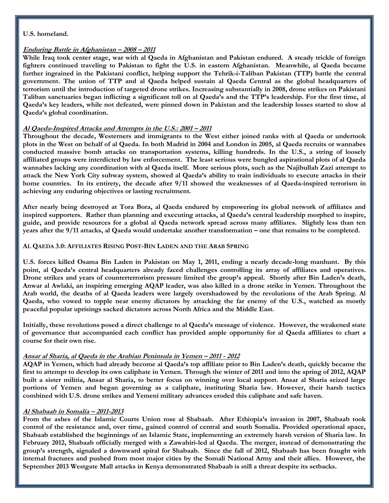#### **U.S. homeland.**

## **Enduring Battle in Afghanistan – 2008 – 2011**

**While Iraq took center stage, war with al Qaeda in Afghanistan and Pakistan endured. A steady trickle of foreign fighters continued traveling to Pakistan to fight the U.S. in eastern Afghanistan. Meanwhile, al Qaeda became further ingrained in the Pakistani conflict, helping support the Tehrik-i-Taliban Pakistan (TTP) battle the central government. The union of TTP and al Qaeda helped sustain al Qaeda Central as the global headquarters of terrorism until the introduction of targeted drone strikes. Increasing substantially in 2008, drone strikes on Pakistani Taliban sanctuaries began inflicting a significant toll on al Qaeda's and the TTP's leadership. For the first time, al Qaeda's key leaders, while not defeated, were pinned down in Pakistan and the leadership losses started to slow al Qaeda's global coordination.**

## **Al Qaeda-Inspired Attacks and Attempts in the U.S.: 2001 – 2011**

**Throughout the decade, Westerners and immigrants to the West either joined ranks with al Qaeda or undertook plots in the West on behalf of al Qaeda. In both Madrid in 2004 and London in 2005, al Qaeda recruits or wannabes conducted massive bomb attacks on transportation systems, killing hundreds. In the U.S., a string of loosely affiliated groups were interdicted by law enforcement. The least serious were bungled aspirational plots of al Qaeda wannabes lacking any coordination with al Qaeda itself. More serious plots, such as the Najibullah Zazi attempt to attack the New York City subway system, showed al Qaeda's ability to train individuals to execute attacks in their home countries. In its entirety, the decade after 9/11 showed the weaknesses of al Qaeda-inspired terrorism in achieving any enduring objectives or lasting recruitment.** 

**After nearly being destroyed at Tora Bora, al Qaeda endured by empowering its global network of affiliates and inspired supporters. Rather than planning and executing attacks, al Qaeda's central leadership morphed to inspire, guide, and provide resources for a global al Qaeda network spread across many affiliates. Slightly less than ten years after the 9/11 attacks, al Qaeda would undertake another transformation – one that remains to be completed.** 

## **AL QAEDA 3.0: AFFILIATES RISING POST-BIN LADEN AND THE ARAB SPRING**

**U.S. forces killed Osama Bin Laden in Pakistan on May 1, 2011, ending a nearly decade-long manhunt. By this point, al Qaeda's central headquarters already faced challenges controlling its array of affiliates and operatives. Drone strikes and years of counterterrorism pressure limited the group's appeal. Shortly after Bin Laden's death, Anwar al Awlaki, an inspiring emerging AQAP leader, was also killed in a drone strike in Yemen. Throughout the Arab world, the deaths of al Qaeda leaders were largely overshadowed by the revolutions of the Arab Spring. Al Qaeda, who vowed to topple near enemy dictators by attacking the far enemy of the U.S., watched as mostly peaceful popular uprisings sacked dictators across North Africa and the Middle East.** 

**Initially, these revolutions posed a direct challenge to al Qaeda's message of violence. However, the weakened state of governance that accompanied each conflict has provided ample opportunity for al Qaeda affiliates to chart a course for their own rise.** 

## **Ansar al Sharia, al Qaeda in the Arabian Peninsula in Yemen – 2011 - 2012**

**AQAP in Yemen, which had already become al Qaeda's top affiliate prior to Bin Laden's death, quickly became the first to attempt to develop its own caliphate in Yemen. Through the winter of 2011 and into the spring of 2012, AQAP built a sister militia, Ansar al Sharia, to better focus on winning over local support. Ansar al Sharia seized large portions of Yemen and began governing as a caliphate, instituting Sharia law. However, their harsh tactics combined with U.S. drone strikes and Yemeni military advances eroded this caliphate and safe haven.**

## **Al Shabaab in Somalia – 2011-2013**

**From the ashes of the Islamic Courts Union rose al Shabaab. After Ethiopia's invasion in 2007, Shabaab took control of the resistance and, over time, gained control of central and south Somalia. Provided operational space, Shabaab established the beginnings of an Islamic State, implementing an extremely harsh version of Sharia law. In February 2012, Shabaab officially merged with a Zawahiri-led al Qaeda. The merger, instead of demonstrating the group's strength, signaled a downward spiral for Shabaab. Since the fall of 2012, Shabaab has been fraught with internal fractures and pushed from most major cities by the Somali National Army and their allies. However, the September 2013 Westgate Mall attacks in Kenya demonstrated Shabaab is still a threat despite its setbacks.**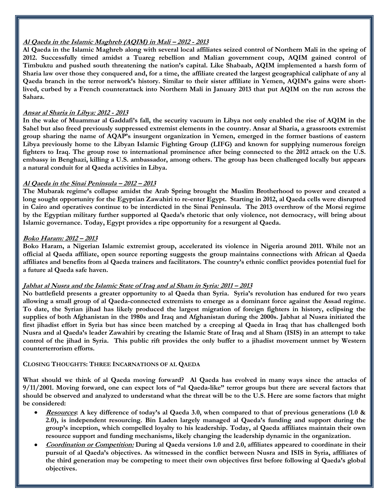## **Al Qaeda in the Islamic Maghreb (AQIM) in Mali – 2012 - 2013**

**Al Qaeda in the Islamic Maghreb along with several local affiliates seized control of Northern Mali in the spring of 2012. Successfully timed amidst a Tuareg rebellion and Malian government coup, AQIM gained control of Timbuktu and pushed south threatening the nation's capital. Like Shabaab, AQIM implemented a harsh form of Sharia law over those they conquered and, for a time, the affiliate created the largest geographical caliphate of any al Qaeda branch in the terror network's history. Similar to their sister affiliate in Yemen, AQIM's gains were shortlived, curbed by a French counterattack into Northern Mali in January 2013 that put AQIM on the run across the Sahara.** 

#### **Ansar al Sharia in Libya: 2012 - 2013**

**In the wake of Muammar al Gaddafi's fall, the security vacuum in Libya not only enabled the rise of AQIM in the Sahel but also freed previously suppressed extremist elements in the country. Ansar al Sharia, a grassroots extremist group sharing the name of AQAP's insurgent organization in Yemen, emerged in the former bastions of eastern Libya previously home to the Libyan Islamic Fighting Group (LIFG) and known for supplying numerous foreign fighters to Iraq. The group rose to international prominence after being connected to the 2012 attack on the U.S. embassy in Benghazi, killing a U.S. ambassador, among others. The group has been challenged locally but appears a natural conduit for al Qaeda activities in Libya.** 

## **Al Qaeda in the Sinai Peninsula – 2012 – 2013**

**The Mubarak regime's collapse amidst the Arab Spring brought the Muslim Brotherhood to power and created a long sought opportunity for the Egyptian Zawahiri to re-enter Egypt. Starting in 2012, al Qaeda cells were disrupted in Cairo and operatives continue to be interdicted in the Sinai Peninsula. The 2013 overthrow of the Morsi regime by the Egyptian military further supported al Qaeda's rhetoric that only violence, not democracy, will bring about Islamic governance. Today, Egypt provides a ripe opportunity for a resurgent al Qaeda.** 

#### **Boko Haram: 2012 – 2013**

**Boko Haram, a Nigerian Islamic extremist group, accelerated its violence in Nigeria around 2011. While not an official al Qaeda affiliate, open source reporting suggests the group maintains connections with African al Qaeda affiliates and benefits from al Qaeda trainers and facilitators. The country's ethnic conflict provides potential fuel for a future al Qaeda safe haven.**

#### **Jabhat al Nusra and the Islamic State of Iraq and al Sham in Syria: 2011 – 2013**

**No battlefield presents a greater opportunity to al Qaeda than Syria. Syria's revolution has endured for two years allowing a small group of al Qaeda-connected extremists to emerge as a dominant force against the Assad regime. To date, the Syrian jihad has likely produced the largest migration of foreign fighters in history, eclipsing the supplies of both Afghanistan in the 1980s and Iraq and Afghanistan during the 2000s. Jabhat al Nusra initiated the first jihadist effort in Syria but has since been matched by a creeping al Qaeda in Iraq that has challenged both Nusra and al Qaeda's leader Zawahiri by creating the Islamic State of Iraq and al Sham (ISIS) in an attempt to take control of the jihad in Syria. This public rift provides the only buffer to a jihadist movement unmet by Western counterterrorism efforts.** 

## **CLOSING THOUGHTS: THREE INCARNATIONS OF AL QAEDA**

**What should we think of al Qaeda moving forward? Al Qaeda has evolved in many ways since the attacks of 9/11/2001. Moving forward, one can expect lots of "al Qaeda-like" terror groups but there are several factors that should be observed and analyzed to understand what the threat will be to the U.S. Here are some factors that might be considered:**

- **Resources: A key difference of today's al Qaeda 3.0, when compared to that of previous generations (1.0 & 2.0), is independent resourcing. Bin Laden largely managed al Qaeda's funding and support during the group's inception, which compelled loyalty to his leadership. Today, al Qaeda affiliates maintain their own resource support and funding mechanisms, likely changing the leadership dynamic in the organization.**
- **Coordination or Competition: During al Qaeda versions 1.0 and 2.0, affiliates appeared to coordinate in their pursuit of al Qaeda's objectives. As witnessed in the conflict between Nusra and ISIS in Syria, affiliates of the third generation may be competing to meet their own objectives first before following al Qaeda's global objectives.**